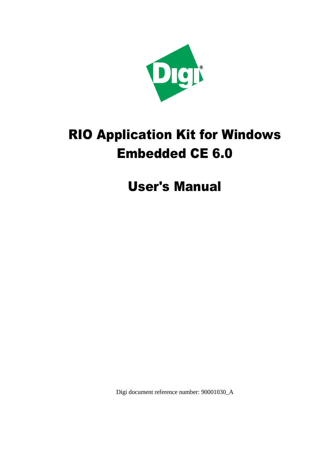

# RIO Application Kit for Windows Embedded CE 6.0

User's Manual

Digi document reference number: 90001030\_A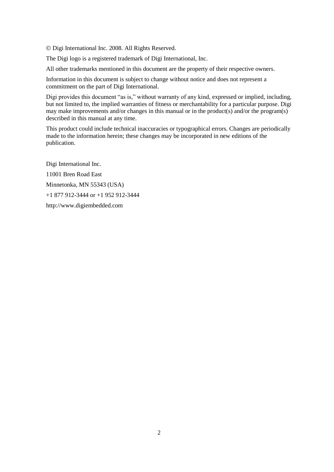Digi International Inc. 2008. All Rights Reserved.

The Digi logo is a registered trademark of Digi International, Inc.

All other trademarks mentioned in this document are the property of their respective owners.

Information in this document is subject to change without notice and does not represent a commitment on the part of Digi International.

Digi provides this document "as is," without warranty of any kind, expressed or implied, including, but not limited to, the implied warranties of fitness or merchantability for a particular purpose. Digi may make improvements and/or changes in this manual or in the product(s) and/or the program(s) described in this manual at any time.

This product could include technical inaccuracies or typographical errors. Changes are periodically made to the information herein; these changes may be incorporated in new editions of the publication.

Digi International Inc. 11001 Bren Road East Minnetonka, MN 55343 (USA) +1 877 912-3444 or +1 952 912-3444 http://www.digiembedded.com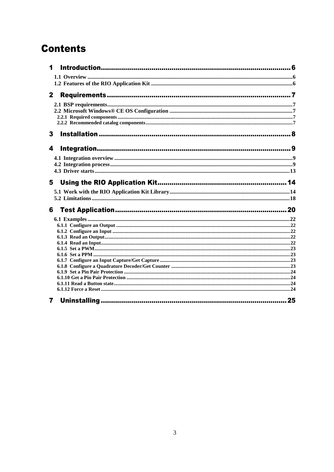## **Contents**

| 1            |  |
|--------------|--|
|              |  |
|              |  |
| $\mathbf{2}$ |  |
|              |  |
|              |  |
|              |  |
|              |  |
| 3            |  |
| 4            |  |
|              |  |
|              |  |
|              |  |
| 5            |  |
|              |  |
|              |  |
| 6            |  |
|              |  |
|              |  |
|              |  |
|              |  |
|              |  |
|              |  |
|              |  |
|              |  |
|              |  |
|              |  |
|              |  |
|              |  |
| 7            |  |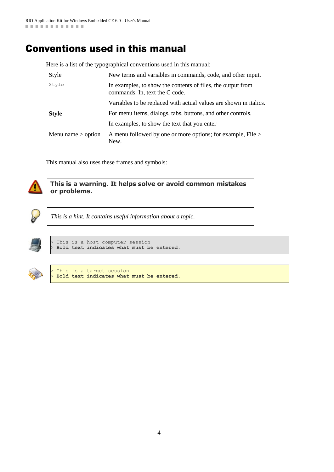## Conventions used in this manual

Here is a list of the typographical conventions used in this manual:

| Style                | New terms and variables in commands, code, and other input.                                   |
|----------------------|-----------------------------------------------------------------------------------------------|
| Style                | In examples, to show the contents of files, the output from<br>commands. In, text the C code. |
|                      | Variables to be replaced with actual values are shown in italics.                             |
| <b>Style</b>         | For menu items, dialogs, tabs, buttons, and other controls.                                   |
|                      | In examples, to show the text that you enter                                                  |
| Menu name $>$ option | A menu followed by one or more options; for example, File ><br>New.                           |

This manual also uses these frames and symbols:



#### **This is a warning. It helps solve or avoid common mistakes or problems.**



*This is a hint. It contains useful information about a topic.*



This is a host computer session > **Bold text indicates what must be entered**.



This is a target session > **Bold text indicates what must be entered**.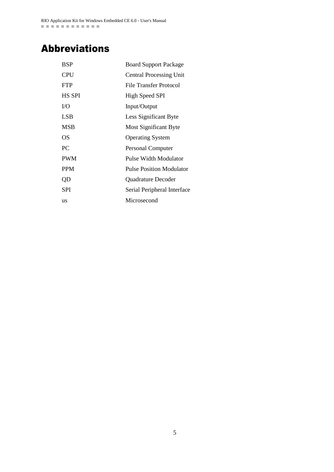## Abbreviations

| <b>BSP</b>    | <b>Board Support Package</b>    |
|---------------|---------------------------------|
| <b>CPU</b>    | <b>Central Processing Unit</b>  |
| <b>FTP</b>    | <b>File Transfer Protocol</b>   |
| <b>HS SPI</b> | High Speed SPI                  |
| I/O           | Input/Output                    |
| LSB           | Less Significant Byte           |
| <b>MSB</b>    | Most Significant Byte           |
| OS            | <b>Operating System</b>         |
| PC.           | <b>Personal Computer</b>        |
| <b>PWM</b>    | Pulse Width Modulator           |
| <b>PPM</b>    | <b>Pulse Position Modulator</b> |
| QD            | <b>Quadrature Decoder</b>       |
| SPI           | Serial Peripheral Interface     |
| us            | Microsecond                     |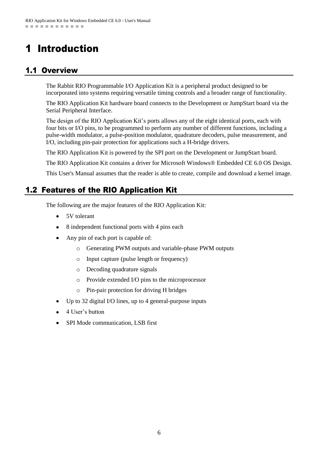## <span id="page-5-0"></span>1 Introduction

## <span id="page-5-1"></span>1.1 Overview

The Rabbit RIO Programmable I/O Application Kit is a peripheral product designed to be incorporated into systems requiring versatile timing controls and a broader range of functionality.

The RIO Application Kit hardware board connects to the Development or JumpStart board via the Serial Peripheral Interface.

The design of the RIO Application Kit's ports allows any of the eight identical ports, each with four bits or I/O pins, to be programmed to perform any number of different functions, including a pulse-width modulator, a pulse-position modulator, quadrature decoders, pulse measurement, and I/O, including pin-pair protection for applications such a H-bridge drivers.

The RIO Application Kit is powered by the SPI port on the Development or JumpStart board.

The RIO Application Kit contains a driver for Microsoft Windows® Embedded CE 6.0 OS Design.

This User's Manual assumes that the reader is able to create, compile and download a kernel image.

## <span id="page-5-2"></span>1.2 Features of the RIO Application Kit

The following are the major features of the RIO Application Kit:

- 5V tolerant
- 8 independent functional ports with 4 pins each
- Any pin of each port is capable of:
	- o Generating PWM outputs and variable-phase PWM outputs
	- o Input capture (pulse length or frequency)
	- o Decoding quadrature signals
	- o Provide extended I/O pins to the microprocessor
	- o Pin-pair protection for driving H bridges
- Up to 32 digital I/O lines, up to 4 general-purpose inputs
- 4 User's button
- SPI Mode communication, LSB first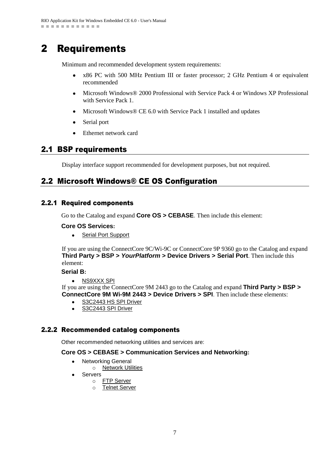## <span id="page-6-0"></span>2 Requirements

Minimum and recommended development system requirements:

- $\bullet$ x86 PC with 500 MHz Pentium III or faster processor; 2 GHz Pentium 4 or equivalent recommended
- Microsoft Windows® 2000 Professional with Service Pack 4 or Windows XP Professional with Service Pack 1.
- $\bullet$ Microsoft Windows® CE 6.0 with Service Pack 1 installed and updates
- $\bullet$ Serial port
- Ethernet network card  $\bullet$

## <span id="page-6-1"></span>2.1 BSP requirements

Display interface support recommended for development purposes, but not required.

## <span id="page-6-2"></span>2.2 Microsoft Windows® CE OS Configuration

### <span id="page-6-3"></span>2.2.1 Required components

Go to the Catalog and expand **Core OS > CEBASE**. Then include this element:

#### **Core OS Services:**

• Serial Port Support

If you are using the ConnectCore 9C/Wi-9C or ConnectCore 9P 9360 go to the Catalog and expand **Third Party > BSP >** *YourPlatform* **> Device Drivers > Serial Port**. Then include this element:

#### **Serial B:**

NS9XXX SPI  $\bullet$ 

If you are using the ConnectCore 9M 2443 go to the Catalog and expand **Third Party > BSP > ConnectCore 9M Wi-9M 2443 > Device Drivers > SPI**. Then include these elements:

- S3C2443 HS SPI Driver
- $\bullet$ S3C2443 SPI Driver

### <span id="page-6-4"></span>2.2.2 Recommended catalog components

Other recommended networking utilities and services are:

#### **Core OS > CEBASE > Communication Services and Networking:**

- Networking General  $\bullet$ 
	- o **Network Utilities**
- Servers
	- o FTP Server
	- o Telnet Server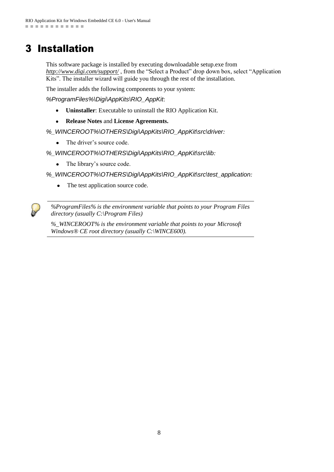## <span id="page-7-0"></span>3 Installation

This software package is installed by executing downloadable setup.exe from *<http://www.digi.com/support/>* , from the "Select a Product" drop down box, select "Application Kits". The installer wizard will guide you through the rest of the installation.

The installer adds the following components to your system:

*%ProgramFiles%\Digi\AppKits\RIO\_AppKit*:

- **Uninstaller**: Executable to uninstall the RIO Application Kit.  $\bullet$
- $\bullet$ **Release Notes** and **License Agreements.**
- *%\_WINCEROOT%\OTHERS\Digi\AppKits\RIO\_AppKit\src\driver:*
	- The driver's source code.
- *%\_WINCEROOT%\OTHERS\Digi\AppKits\RIO\_AppKit\src\lib:*
	- The library's source code.  $\bullet$

*%\_WINCEROOT%\OTHERS\Digi\AppKits\RIO\_AppKit\src\test\_application:*

The test application source code.  $\bullet$ 

*%ProgramFiles% is the environment variable that points to your Program Files directory (usually C:\Program Files)*

*%\_WINCEROOT% is the environment variable that points to your Microsoft Windows® CE root directory (usually C:\WINCE600).*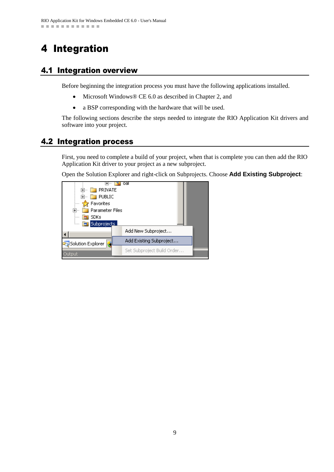## <span id="page-8-0"></span>4 Integration

## <span id="page-8-1"></span>4.1 Integration overview

Before beginning the integration process you must have the following applications installed.

- Microsoft Windows® CE 6.0 as described in Chapter 2, and  $\bullet$
- a BSP corresponding with the hardware that will be used.  $\bullet$

The following sections describe the steps needed to integrate the RIO Application Kit drivers and software into your project.

## <span id="page-8-2"></span>4.2 Integration process

First, you need to complete a build of your project, when that is complete you can then add the RIO Application Kit driver to your project as a new subproject.

Open the Solution Explorer and right-click on Subprojects. Choose **Add Existing Subproject**:

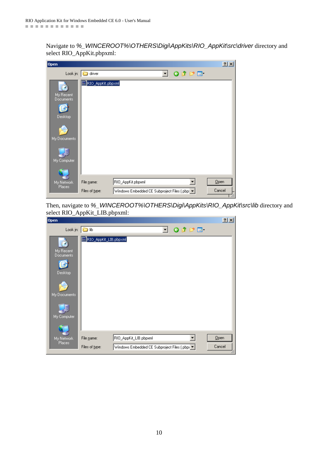Navigate to *%\_WINCEROOT%\OTHERS\Digi\AppKits\RIO\_AppKit\src\driver* directory and select RIO\_AppKit.pbpxml:

| Open                          |                              |                                                                    |    |                 | $2 \times$     |
|-------------------------------|------------------------------|--------------------------------------------------------------------|----|-----------------|----------------|
| Look in:                      | driver                       |                                                                    | ▾╎ | $O$ $D$ $P$ $E$ |                |
| My Recent<br><b>Documents</b> | RIO_AppKit.pbpxml            |                                                                    |    |                 |                |
| Desktop<br>My Documents       |                              |                                                                    |    |                 |                |
| My Computer                   |                              |                                                                    |    |                 |                |
| My Network<br>Places          | File name:<br>Files of type: | RIO_AppKit.pbpxml<br>Windows Embedded CE Subproject Files (.pbp: v |    |                 | Qpen<br>Cancel |

Then, navigate to *%\_WINCEROOT%\OTHERS\Digi\AppKits\RIO\_AppKit\src\lib* directory and select RIO\_AppKit\_LIB.pbpxml:

| Open                                                             |                       |                                               |                          |                 |        | $2 \times$ |
|------------------------------------------------------------------|-----------------------|-----------------------------------------------|--------------------------|-----------------|--------|------------|
| Look in: $\boxed{\bigcirc}$ lib                                  |                       |                                               | $\vert \mathbf{v} \vert$ | $O$ $D$ $P$ $E$ |        |            |
| My Recent<br>Documents<br>Desktop<br>My Documents<br>My Computer | RIO_AppKit_LIB.pbpxml |                                               |                          |                 |        |            |
| My Network                                                       | File name:            | RIO_AppKit_LIB.pbpxml                         |                          | ▾               | Qpen   |            |
| Places                                                           | Files of type:        | Windows Embedded CE Subproject Files (.pbp) \ |                          |                 | Cancel |            |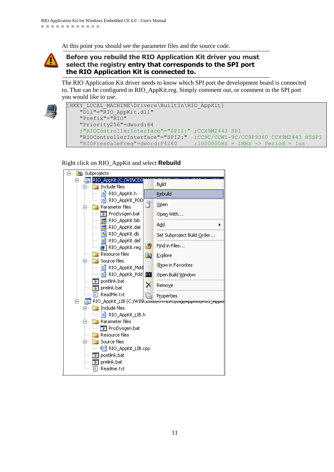At this point you should see the parameter files and the source code.

#### **Before you rebuild the RIO Application Kit driver you must select the registry entry that corresponds to the SPI port the RIO Application Kit is connected to.**

The RIO Application Kit driver needs to know which SPI port the development board is connected to. That can be configured in RIO\_AppKit.reg. Simply comment out, or comment in the SPI port you would like to use.



```
[HKEY_LOCAL_MACHINE\Drivers\BuiltIn\RIO_AppKit]
      "Dll"="RIO_AppKit.dll"
      "Prefix"="RIO"
      "Priority256"=dword:64
      ;"RIOControllerInterface"="SPI1:" ;CCX9M2443 SPI
     "RIOControllerInterface"="SPI2:" ;CC9C/CCWi-9C/CC9P9360 CCX9M2443 HSSPI<br>"RIOPrescaleFreq"=dword:F4240 ;1000000Hz = 1MHz -> Period = 1us
                                                  :10000000Hz = 1MHz \rightarrow Period = 1us
```
Right click on RIO\_AppKit and select **Rebuild**

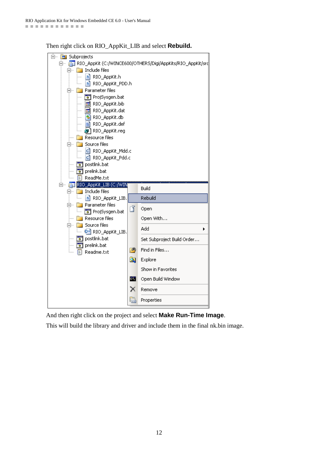

Then right click on RIO\_AppKit\_LIB and select **Rebuild.**

And then right click on the project and select **Make Run-Time Image**.

This will build the library and driver and include them in the final nk.bin image.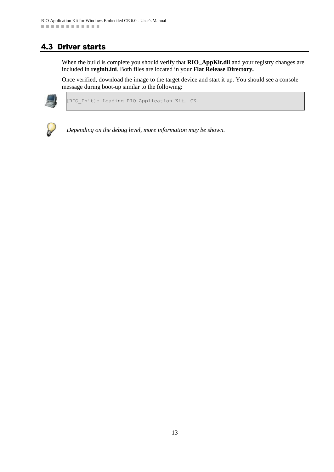## <span id="page-12-0"></span>4.3 Driver starts

When the build is complete you should verify that **RIO\_AppKit.dll** and your registry changes are included in **reginit.ini**. Both files are located in your **Flat Release Directory.**

Once verified, download the image to the target device and start it up. You should see a console message during boot-up similar to the following:



[RIO\_Init]: Loading RIO Application Kit… OK.



*Depending on the debug level, more information may be shown.*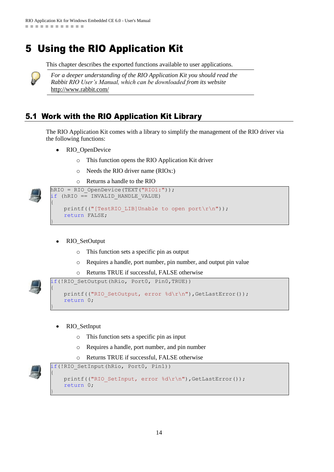## <span id="page-13-0"></span>5 Using the RIO Application Kit

This chapter describes the exported functions available to user applications.



*For a deeper understanding of the RIO Application Kit you should read the Rabbit RIO User's Manual, which can be downloaded from its website*  <http://www.rabbit.com/>

## <span id="page-13-1"></span>5.1 Work with the RIO Application Kit Library

The RIO Application Kit comes with a library to simplify the management of the RIO driver via the following functions:

- RIO\_OpenDevice  $\bullet$ 
	- o This function opens the RIO Application Kit driver
	- o Needs the RIO driver name (RIOx:)
	- o Returns a handle to the RIO

```
hRIO = RIO OpenDevice(TEXT("RIO1:"));
if (hRIO == INVALID_HANDLE_VALUE)
{
    printf(("[TestRIO LIB]Unable to open port\r\n"));
     return FALSE;
}
```
- RIO\_SetOutput
	- o This function sets a specific pin as output
	- o Requires a handle, port number, pin number, and output pin value
	- o Returns TRUE if successful, FALSE otherwise

```
if(!RIO SetOutput(hRio, Port0, Pin0,TRUE))
{
```

```
printf(("RIO SetOutput, error %d\r\n"),GetLastError());
 return 0;
```
- RIO\_SetInput
	- o This function sets a specific pin as input
	- o Requires a handle, port number, and pin number
	- o Returns TRUE if successful, FALSE otherwise

}

{

}

```
if(!RIO SetInput(hRio, Port0, Pin1))
   printf(("RIO SetInput, error %d\r\n"),GetLastError());
    return 0;
```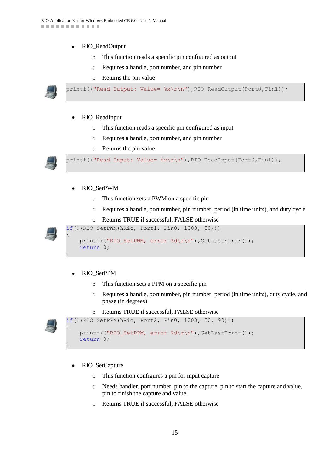- RIO\_ReadOutput
	- o This function reads a specific pin configured as output
	- o Requires a handle, port number, and pin number

o Returns the pin value



printf(("Read Output: Value=  $x\rightharpoonup x(n)$ , RIO ReadOutput(Port0,Pin1));

- RIO\_ReadInput
	- o This function reads a specific pin configured as input
	- o Requires a handle, port number, and pin number
	- o Returns the pin value



printf(("Read Input: Value=  $x\r\ln$ "),RIO ReadInput(Port0,Pin1));

#### RIO\_SetPWM

- o This function sets a PWM on a specific pin
- o Requires a handle, port number, pin number, period (in time units), and duty cycle.
- o Returns TRUE if successful, FALSE otherwise

if(!(RIO SetPWM(hRio, Port1, Pin0, 1000, 50)))



{

}

{

}

printf(("RIO SetPWM, error %d\r\n"),GetLastError()); return 0;

#### RIO\_SetPPM

- o This function sets a PPM on a specific pin
- o Requires a handle, port number, pin number, period (in time units), duty cycle, and phase (in degrees)
- o Returns TRUE if successful, FALSE otherwise

if(!(RIO SetPPM(hRio, Port2, Pin0, 1000, 50, 90)))



printf(("RIO SetPPM, error %d\r\n"),GetLastError()); return 0;

- RIO\_SetCapture
	- o This function configures a pin for input capture
	- o Needs handler, port number, pin to the capture, pin to start the capture and value, pin to finish the capture and value.
	- o Returns TRUE if successful, FALSE otherwise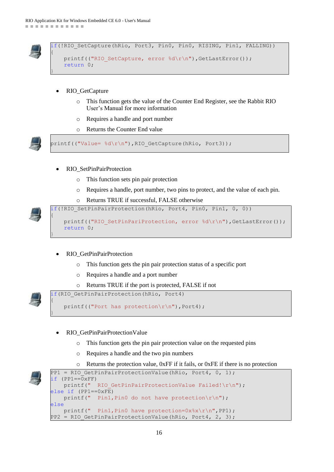

 $\{$ 

}

```
f(!RIO SetCapture(hRio, Port3, Pin0, Pin0, RISING, Pin1, FALLING))
  printf(("RIO SetCapture, error %d\r\n"),GetLastError());
   return 0;
```
- RIO\_GetCapture
	- o This function gets the value of the Counter End Register, see the Rabbit RIO User's Manual for more information
	- o Requires a handle and port number
	- o Returns the Counter End value

printf(("Value= %d\r\n"),RIO\_GetCapture(hRio, Port3));

- RIO\_SetPinPairProtection
	- o This function sets pin pair protection
	- o Requires a handle, port number, two pins to protect, and the value of each pin.
	- o Returns TRUE if successful, FALSE otherwise



{

}

{

}

if(!RIO SetPinPairProtection(hRio, Port4, Pin0, Pin1, 0, 0)) printf(("RIO SetPinPariProtection, error %d\r\n"),GetLastError()); return 0;

#### RIO\_GetPinPairProtection

- o This function gets the pin pair protection status of a specific port
- o Requires a handle and a port number
- o Returns TRUE if the port is protected, FALSE if not



if(RIO\_GetPinPairProtection(hRio, Port4)

```
 printf(("Port has protection\r\n"),Port4);
```
- RIO\_GetPinPairProtectionValue
	- o This function gets the pin pair protection value on the requested pins
	- o Requires a handle and the two pin numbers
	- o Returns the protection value, 0xFF if it fails, or 0xFE if there is no protection

```
PP1 = RIO GetPinPairProtectionValue(hRio, Port4, 0, 1);
if (PP1==\overline{0}xFF)
    printf(" RIO GetPinPairProtectionValue Failed!\r\n");
else if (PP1==0xFE)
    printf(" Pin1, Pin0 do not have protection\r\n");
else
    printf(" Pin1, Pin0 have protection=0x\frac{x}{x}\frac{r}{n}, PP1);
PP2 = RIO GetPinPairProtectionValue(hRio, Port4, 2, 3);
```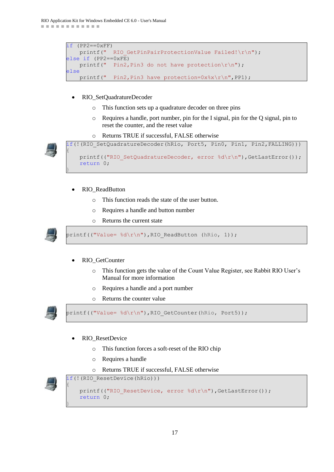```
if (PP2 == 0 \times FF)printf(" RIO GetPinPairProtectionValue Failed!\r\n");
else if (PP2 == 0 \times FE)printf(" Pin2, Pin3 do not have protection\r\n");
else
    printf(" Pin2, Pin3 have protection=0x\frac{2}{x}\frac{r}{n}, PP1);
```
- RIO\_SetQuadratureDecoder  $\bullet$ 
	- o This function sets up a quadrature decoder on three pins
	- o Requires a handle, port number, pin for the I signal, pin for the Q signal, pin to reset the counter, and the reset value
	- o Returns TRUE if successful, FALSE otherwise





- RIO\_ReadButton
	- o This function reads the state of the user button.
	- o Requires a handle and button number
	- o Returns the current state



 $\{$ 

}

printf(("Value=  $\delta d\r \n\$ "),RIO ReadButton (hRio, 1));

- RIO\_GetCounter
	- o This function gets the value of the Count Value Register, see Rabbit RIO User's Manual for more information
	- o Requires a handle and a port number
	- o Returns the counter value



printf(("Value= %d\r\n"),RIO\_GetCounter(hRio, Port5));

- RIO\_ResetDevice
	- o This function forces a soft-reset of the RIO chip
	- o Requires a handle
	- o Returns TRUE if successful, FALSE otherwise



{

}

```
if(!(RIO ResetDevice(hRio)))
   printf(("RIO ResetDevice, error %d\r\n"),GetLastError());
    return 0;
```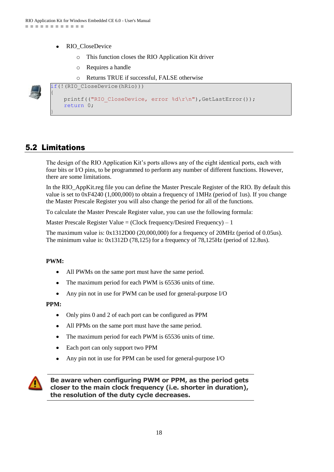- RIO\_CloseDevice
	- o This function closes the RIO Application Kit driver
	- o Requires a handle

o Returns TRUE if successful, FALSE otherwise

```
if(!(RIO CloseDevice(hRio)))
\{printf(("RIO CloseDevice, error %d\r\n"),GetLastError());
     return 0;
```
## <span id="page-17-0"></span>5.2 Limitations

}

The design of the RIO Application Kit's ports allows any of the eight identical ports, each with four bits or I/O pins, to be programmed to perform any number of different functions. However, there are some limitations.

In the RIO\_AppKit.reg file you can define the Master Prescale Register of the RIO. By default this value is set to 0xF4240 (1,000,000) to obtain a frequency of 1MHz (period of 1us). If you change the Master Prescale Register you will also change the period for all of the functions.

To calculate the Master Prescale Register value, you can use the following formula:

Master Prescale Register Value = (Clock frequency/Desired Frequency) – 1

The maximum value is: 0x1312D00 (20,000,000) for a frequency of 20MHz (period of 0.05us). The minimum value is: 0x1312D (78,125) for a frequency of 78,125Hz (period of 12.8us).

#### **PWM:**

- All PWMs on the same port must have the same period.  $\bullet$
- The maximum period for each PWM is 65536 units of time.  $\bullet$
- Any pin not in use for PWM can be used for general-purpose I/O  $\bullet$

#### **PPM:**

- Only pins 0 and 2 of each port can be configured as PPM
- All PPMs on the same port must have the same period.
- The maximum period for each PWM is 65536 units of time.  $\bullet$
- Each port can only support two PPM
- Any pin not in use for PPM can be used for general-purpose I/O



**Be aware when configuring PWM or PPM, as the period gets closer to the main clock frequency (i.e. shorter in duration), the resolution of the duty cycle decreases.**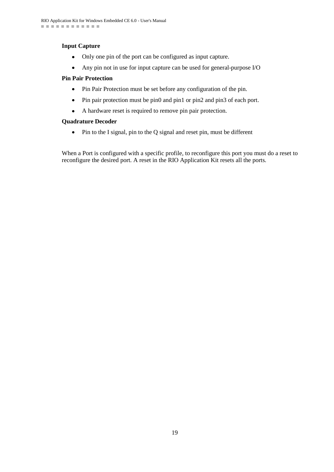#### **Input Capture**

- $\bullet$ Only one pin of the port can be configured as input capture.
- $\bullet$ Any pin not in use for input capture can be used for general-purpose I/O

#### **Pin Pair Protection**

- Pin Pair Protection must be set before any configuration of the pin.
- Pin pair protection must be pin0 and pin1 or pin2 and pin3 of each port.
- $\bullet$ A hardware reset is required to remove pin pair protection.

#### **Quadrature Decoder**

• Pin to the I signal, pin to the Q signal and reset pin, must be different

When a Port is configured with a specific profile, to reconfigure this port you must do a reset to reconfigure the desired port. A reset in the RIO Application Kit resets all the ports.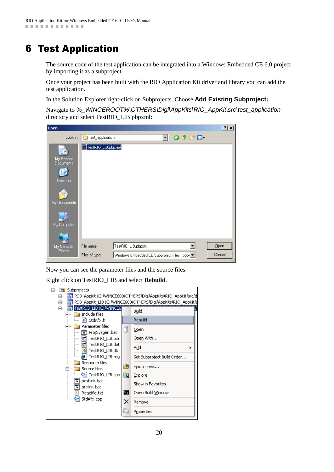## <span id="page-19-0"></span>6 Test Application

The source code of the test application can be integrated into a Windows Embedded CE 6.0 project by importing it as a subproject.

Once your project has been built with the RIO Application Kit driver and library you can add the test application.

In the Solution Explorer right-click on Subprojects. Choose **Add Existing Subproject:**

Navigate to *%\_WINCEROOT%\OTHERS\Digi\AppKits\RIO\_AppKit\src\test\_application* directory and select TestRIO\_LIB.pbpxml:

| Open                          |                    |                                               |    |                        | 2 X    |
|-------------------------------|--------------------|-----------------------------------------------|----|------------------------|--------|
| Look in:                      | test_application   |                                               | ▾╎ | $0$ $0$ $0$ $0$ $\Box$ |        |
| My Recent<br><b>Documents</b> | TestRIO_LIB.pbpxml |                                               |    |                        |        |
| Desktop                       |                    |                                               |    |                        |        |
| My Documents                  |                    |                                               |    |                        |        |
| My Computer                   |                    |                                               |    |                        |        |
|                               |                    |                                               |    |                        |        |
| My Network                    | File name:         | TestRIO_LIB.pbpxml                            |    |                        | Qpen   |
| Places.                       | Files of type:     | Windows Embedded CE Subproject Files (.pbp) \ |    |                        | Cancel |

Now you can see the parameter files and the source files.

Right click on TestRIO\_LIB and select **Rebuild**.

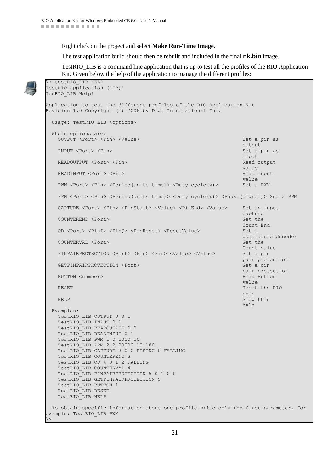Right click on the project and select **Make Run-Time Image.**

The test application build should then be rebuilt and included in the final **nk.bin** image.

TestRIO\_LIB is a command line application that is up to test all the profiles of the RIO Application Kit. Given below the help of the application to manage the different profiles:

```
\> testRIO_LIB HELP
TestRIO Application (LIB)!
TesRIO_LIB Help!
Application to test the different profiles of the RIO Application Kit
Revision 1.0 Copyright (c) 2008 by Digi International Inc.
   Usage: TestRIO LIB <options>
    Where options are:
      OUTPUT <Port> <Pin> <Value> Set a pin as
output and the control of the control of the control of the control of the control output and the control of the control of the control of the control of the control of the control of the control of the control of the cont
      INPUT <Port> <Pin> \sum_{n=1}^{\infty} Set a pin as
input in the control of the control of the control of the control of the control of the control of the control o
      READOUTPUT <Port> <Pin> Read output <Pin> Read output <Pin Read output <Pin Read output <Pin Read output <Pin Read output <Pin Read output <Pin Read output <Pin Read output <Pin Read output <Pin Read output <Pin Read outpu
value of the control of the control of the control of the control of the control of the control of the control of the control of the control of the control of the control of the control of the control of the control of the
      READINPUT <Port> <Pin>
Read input
value of the control of the control of the control of the control of the control of the control of the control of the control of the control of the control of the control of the control of the control of the control of the
      PWM <Port> <Pin> <Period(units time)> <Duty cycle(%)> Set a PWM
       PPM <Port> <Pin> <Period(units time)> <Duty cycle(%)> <Phase(degree)> Set a PPM
       CAPTURE <Port> <Pin> <PinStart> <Value> <PinEnd> <Value> Set an input 
\mathcal{C} capture \mathcal{C} and \mathcal{C} and \mathcal{C} and \mathcal{C} and \mathcal{C} and \mathcal{C} and \mathcal{C} and \mathcal{C} and \mathcal{C} and \mathcal{C} and \mathcal{C} and \mathcal{C} and \mathcal{C} and \mathcal{C} and \mathcal{C} and \mathcal{C} 
       COUNTEREND <Port> Get the 
                                                                                                            Count End
       QD <Port> <PinI> <PinQ> <PinReset> <ResetValue> Set a 
                                                                                                            quadrature decoder
      COUNTERVAL <Port>
Get the Get the Get the Get the Get the Get the Get the Get the Get the Get the Get the Get the Get the Get the Get the Get the Get the Get the Get the Get the Get the Get the Get the Get the Get the Get 
                                                                                                            Count value
      PINPAIRPROTECTION <Port> <Pin> <Pin> <Value> <Value> Set a pin
                                                                                                            pair protection
      GETPINPAIRPROTECTION <Port>
Get a pin
                                                                                                            pair protection
      BUTTON <number>
Read Button <number>
Read Button <number>
Read Button <number>
Read Button <number>
Read Button <number>
Read Button <number>
Read Button <number>
Read Button <number <number <number <number <number <number
value of the control of the control of the control of the control of the control of the control of the control of the control of the control of the control of the control of the control of the control of the control of the
      RESET RESET And the RIO control of the RIO control of the RIO control of the RIO control of the RIO control of the RIO control of the RIO control of the RIO control of the RIO control of the RIO control of the RIO control 
chip and the chip and the chip and the chip and the chip and the chip and the chip and the chip and the chip and the chip and the chip and the chip and the chip and the chip and the chip and the chip and the chip and the c
      HELP Show this show that the show that the show that the show that the show this show this
help in the control of the control of the control of the control of the control of the control of the control of the control of the control of the control of the control of the control of the control of the control of the 
    Examples:
       TestRIO_LIB OUTPUT 0 0 1
       TestRIO_LIB INPUT 0 1
       TestRIO_LIB READOUTPUT 0 0
       TestRIO_LIB READINPUT 0 1
       TestRIO_LIB PWM 1 0 1000 50
       TestRIO_LIB PPM 2 2 20000 10 180
       TestRIO_LIB CAPTURE 3 0 0 RISING 0 FALLING
       TestRIO_LIB COUNTEREND 3
       TestRIO_LIB QD 4 0 1 2 FALLING
       TestRIO_LIB COUNTERVAL 4
       TestRIO_LIB PINPAIRPROTECTION 5 0 1 0 0
       TestRIO_LIB GETPINPAIRPROTECTION 5
       TestRIO_LIB BUTTON 1
       TestRIO_LIB RESET
       TestRIO_LIB HELP
   To obtain specific information about one profile write only the first parameter, for 
example: TestRIO LIB PWM
\langle
```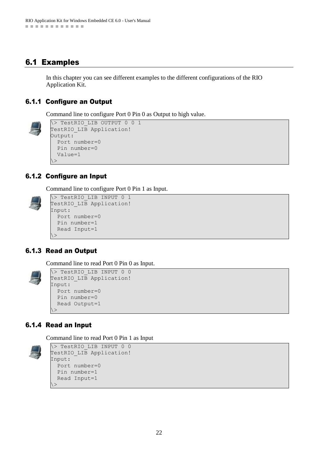## <span id="page-21-0"></span>6.1 Examples

In this chapter you can see different examples to the different configurations of the RIO Application Kit.

#### <span id="page-21-1"></span>6.1.1 Configure an Output

Command line to configure Port 0 Pin 0 as Output to high value.

```
\> TestRIO_LIB OUTPUT 0 0 1
TestRIO LIB Application!
Output:
  Port number=0
  Pin number=0
  Value=1
\langle
```
### <span id="page-21-2"></span>6.1.2 Configure an Input

Command line to configure Port 0 Pin 1 as Input.



```
\> TestRIO_LIB INPUT 0 1
TestRIO LIB Application!
Input:
  Port number=0
  Pin number=1
  Read Input=1
\geq
```
### <span id="page-21-3"></span>6.1.3 Read an Output

Command line to read Port 0 Pin 0 as Input.

```
\> TestRIO_LIB INPUT 0 0
TestRIO LIB Application!
Input:
  Port number=0
  Pin number=0
  Read Output=1
\geq
```
### <span id="page-21-4"></span>6.1.4 Read an Input

Command line to read Port 0 Pin 1 as Input

```
\> TestRIO_LIB INPUT 0 0
TestRIO LIB Application!
Input:
  Port number=0
  Pin number=1
  Read Input=1
\geq
```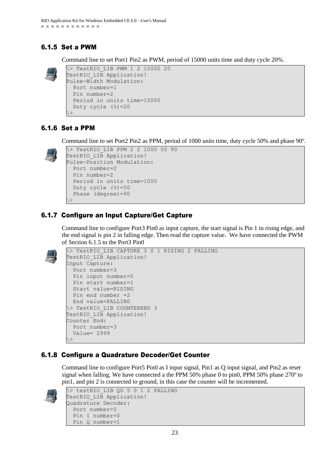### <span id="page-22-0"></span>6.1.5 Set a PWM

Command line to set Port1 Pin2 as PWM, period of 15000 units time and duty cycle 20%.



\> TestRIO\_LIB PWM 1 2 15000 20 TestRIO LIB Application! Pulse-Width Modulation: Port number=1 Pin number=2 Period in units time=15000 Duty cycle (%)=20  $\langle$ 

### <span id="page-22-1"></span>6.1.6 Set a PPM

Command line to set Port2 Pin2 as PPM, period of 1000 units time, duty cycle 50% and phase 90º.



```
\> TestRIO_LIB PPM 2 2 1000 50 90
TestRIO LIB Application!
Pulse-Position Modulation:
  Port number=2
  Pin number=2
  Period in units time=1000
  Duty cycle (%)=50
  Phase (degree)=90
\rightarrow
```
## <span id="page-22-2"></span>6.1.7 Configure an Input Capture/Get Capture

Command line to configure Port3 Pin0 as input capture, the start signal is Pin 1 in rising edge, and the end signal is pin 2 in falling edge. Then read the capture value. We have connected the PWM of Section 6.1.5 to the Port3 Pin0



```
\> TestRIO_LIB CAPTURE 3 0 1 RISING 2 FALLING
TestRIO LIB Application!
Input Capture:
  Port number=3
  Pin input number=0
  Pin start number=1
  Start value=RISING
  Pin end number =2
  End value=FALLING
\> TestRIO_LIB COUNTEREND 3
TestRIO LIB Application!
Counter End:
  Port number=3
   Value= 2999
\langle
```
## <span id="page-22-3"></span>6.1.8 Configure a Quadrature Decoder/Get Counter

Command line to configure Port5 Pin0 as I input signal, Pin1 as Q input signal, and Pin2 as reset signal when falling. We have connected a the PPM 50% phase 0 to pin0, PPM 50% phase 270º to pin1, and pin 2 is connected to ground, in this case the counter will be incremented.



```
\> testRIO_LIB QD 5 0 1 2 FALLING
TestRIO LIB Application!
Quadrature Decoder:
  Port number=5
  Pin I number=0
  Pin Q number=1
```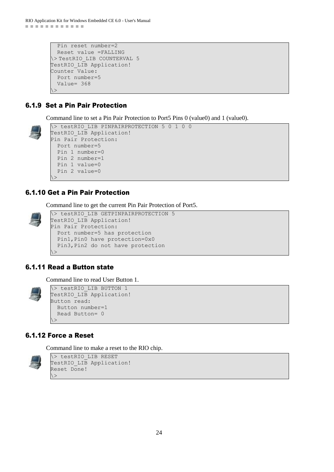```
 Pin reset number=2
   Reset value =FALLING
\> TestRIO_LIB COUNTERVAL 5
TestRIO LIB Application!
Counter Value:
  Port number=5
  Value= 368
\langle \rangle
```
### <span id="page-23-0"></span>6.1.9 Set a Pin Pair Protection

Command line to set a Pin Pair Protection to Port5 Pins 0 (value0) and 1 (value0).



```
\> testRIO_LIB PINPAIRPROTECTION 5 0 1 0 0
TestRIO LIB Application!
Pin Pair Protection:
  Port number=5
  Pin 1 number=0
  Pin 2 number=1
  Pin 1 value=0
  Pin 2 value=0
\langle \rangle
```
#### <span id="page-23-1"></span>6.1.10 Get a Pin Pair Protection

Command line to get the current Pin Pair Protection of Port5.

\> testRIO\_LIB GETPINPAIRPROTECTION 5 TestRIO LIB Application! Pin Pair Protection: Port number=5 has protection Pin1,Pin0 have protection=0x0 Pin3,Pin2 do not have protection  $\langle \rangle$ 

### <span id="page-23-2"></span>6.1.11 Read a Button state

Command line to read User Button 1.



\> testRIO\_LIB BUTTON 1 TestRIO LIB Application! Button read: Button number=1 Read Button= 0  $\langle$ 

### <span id="page-23-3"></span>6.1.12 Force a Reset

Command line to make a reset to the RIO chip.



\> testRIO\_LIB RESET TestRIO LIB Application! Reset Done!  $\langle \rangle$